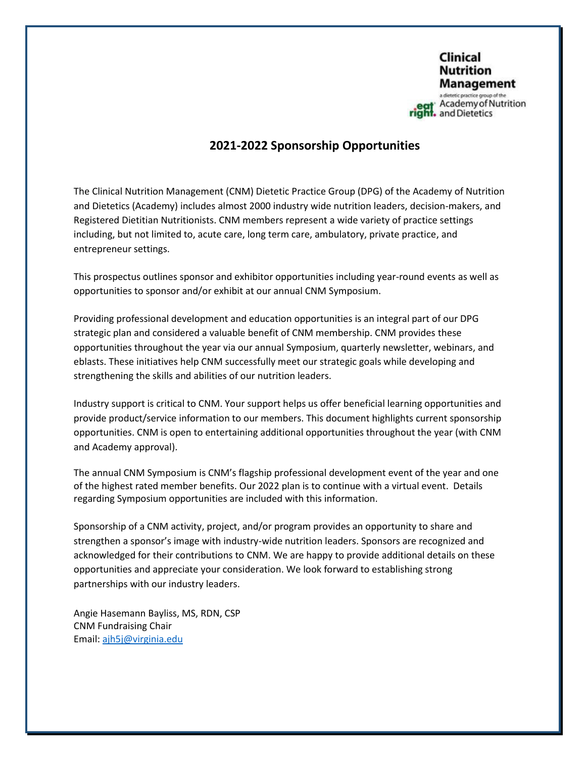

## **2021-2022 Sponsorship Opportunities**

The Clinical Nutrition Management (CNM) Dietetic Practice Group (DPG) of the Academy of Nutrition and Dietetics (Academy) includes almost 2000 industry wide nutrition leaders, decision-makers, and Registered Dietitian Nutritionists. CNM members represent a wide variety of practice settings including, but not limited to, acute care, long term care, ambulatory, private practice, and entrepreneur settings.

This prospectus outlines sponsor and exhibitor opportunities including year-round events as well as opportunities to sponsor and/or exhibit at our annual CNM Symposium.

Providing professional development and education opportunities is an integral part of our DPG strategic plan and considered a valuable benefit of CNM membership. CNM provides these opportunities throughout the year via our annual Symposium, quarterly newsletter, webinars, and eblasts. These initiatives help CNM successfully meet our strategic goals while developing and strengthening the skills and abilities of our nutrition leaders.

Industry support is critical to CNM. Your support helps us offer beneficial learning opportunities and provide product/service information to our members. This document highlights current sponsorship opportunities. CNM is open to entertaining additional opportunities throughout the year (with CNM and Academy approval).

The annual CNM Symposium is CNM's flagship professional development event of the year and one of the highest rated member benefits. Our 2022 plan is to continue with a virtual event. Details regarding Symposium opportunities are included with this information.

Sponsorship of a CNM activity, project, and/or program provides an opportunity to share and strengthen a sponsor's image with industry-wide nutrition leaders. Sponsors are recognized and acknowledged for their contributions to CNM. We are happy to provide additional details on these opportunities and appreciate your consideration. We look forward to establishing strong partnerships with our industry leaders.

Angie Hasemann Bayliss, MS, RDN, CSP CNM Fundraising Chair Email: [ajh5j@virginia.edu](mailto:ajh5j@virginia.edu)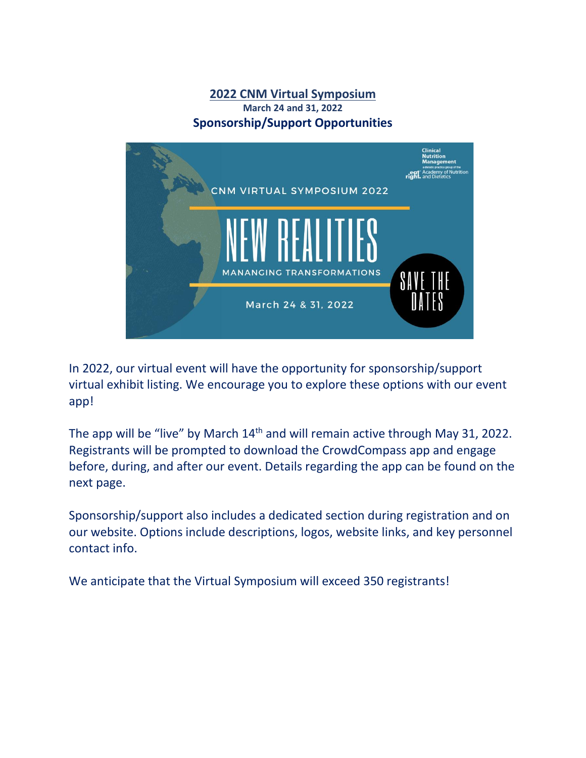## **2022 CNM Virtual Symposium March 24 and 31, 2022 Sponsorship/Support Opportunities**



In 2022, our virtual event will have the opportunity for sponsorship/support virtual exhibit listing. We encourage you to explore these options with our event app!

The app will be "live" by March 14<sup>th</sup> and will remain active through May 31, 2022. Registrants will be prompted to download the CrowdCompass app and engage before, during, and after our event. Details regarding the app can be found on the next page.

Sponsorship/support also includes a dedicated section during registration and on our website. Options include descriptions, logos, website links, and key personnel contact info.

We anticipate that the Virtual Symposium will exceed 350 registrants!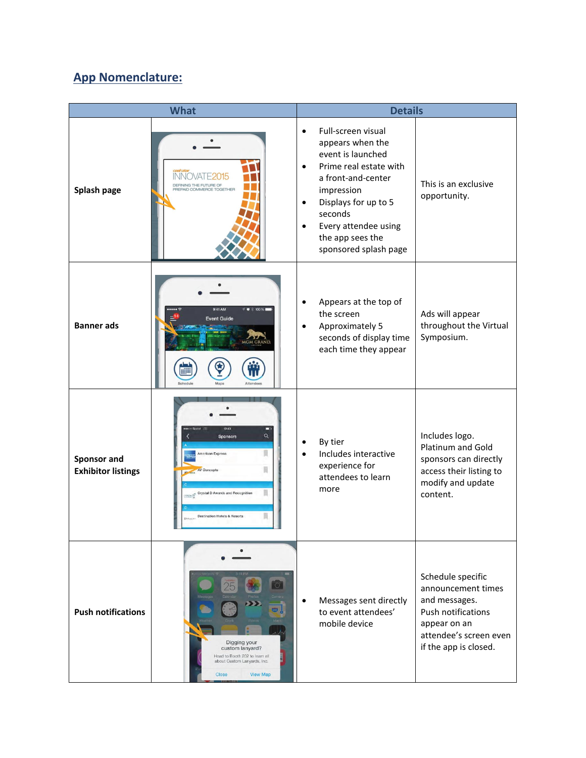# **App Nomenclature:**

| <b>What</b>                              |                                                                                                                                                         | <b>Details</b>                                   |                                                                                                                                                                                                                                   |                                                                                                                                                          |
|------------------------------------------|---------------------------------------------------------------------------------------------------------------------------------------------------------|--------------------------------------------------|-----------------------------------------------------------------------------------------------------------------------------------------------------------------------------------------------------------------------------------|----------------------------------------------------------------------------------------------------------------------------------------------------------|
| Splash page                              | INNO<br>DEFINING THE FUTURE OF<br>PREPAID COMMERCE TOGETHER                                                                                             | $\bullet$<br>$\bullet$<br>$\bullet$<br>$\bullet$ | Full-screen visual<br>appears when the<br>event is launched<br>Prime real estate with<br>a front-and-center<br>impression<br>Displays for up to 5<br>seconds<br>Every attendee using<br>the app sees the<br>sponsored splash page | This is an exclusive<br>opportunity.                                                                                                                     |
| <b>Banner</b> ads                        | 9:41 AM<br>1 0 100%<br><b>Event Guide</b><br><b>MGM GRAND</b>                                                                                           | $\bullet$<br>$\bullet$                           | Appears at the top of<br>the screen<br>Approximately 5<br>seconds of display time<br>each time they appear                                                                                                                        | Ads will appear<br>throughout the Virtual<br>Symposium.                                                                                                  |
| Sponsor and<br><b>Exhibitor listings</b> | 12:43<br>□<br>Q<br>Sponsors<br>U<br>American Express<br>員<br>AV Concepts<br>Crystal D Awards and Recognition<br><b>Destination Hotels &amp; Resorts</b> | $\bullet$                                        | By tier<br>Includes interactive<br>experience for<br>attendees to learn<br>more                                                                                                                                                   | Includes logo.<br>Platinum and Gold<br>sponsors can directly<br>access their listing to<br>modify and update<br>content.                                 |
| <b>Push notifications</b>                | Digging your<br>custom lanyard?<br>Head to Booth 202 to learn all<br>about Custom Lanyards, Inc.<br>Close<br><b>View Map</b>                            |                                                  | Messages sent directly<br>to event attendees'<br>mobile device                                                                                                                                                                    | Schedule specific<br>announcement times<br>and messages.<br><b>Push notifications</b><br>appear on an<br>attendee's screen even<br>if the app is closed. |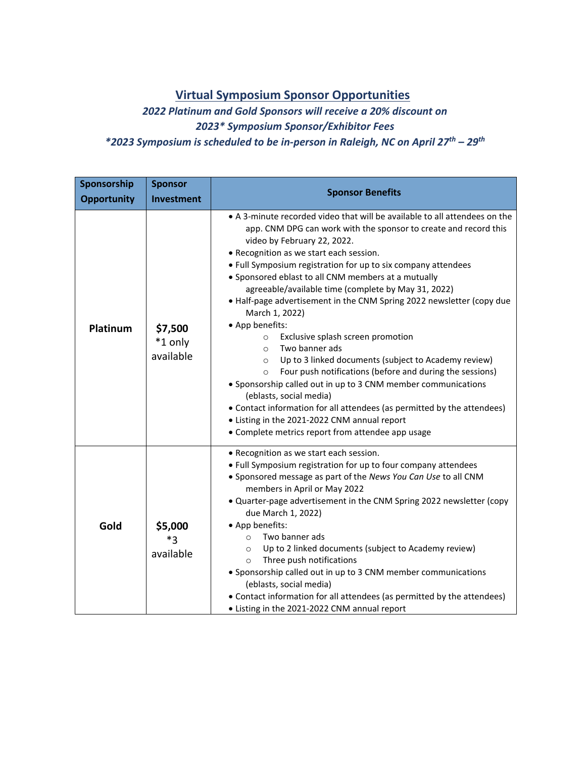## **Virtual Symposium Sponsor Opportunities**

*2022 Platinum and Gold Sponsors will receive a 20% discount on 2023\* Symposium Sponsor/Exhibitor Fees \*2023 Symposium is scheduled to be in-person in Raleigh, NC on April 27 th – 29th*

| Sponsorship<br><b>Opportunity</b> | <b>Sponsor</b><br><b>Investment</b> | <b>Sponsor Benefits</b>                                                                                                                                                                                                                                                                                                                                                                                                                                                                                                                                                                                                                                                                                                                                                                                                                                                                                                                                                                                                   |  |
|-----------------------------------|-------------------------------------|---------------------------------------------------------------------------------------------------------------------------------------------------------------------------------------------------------------------------------------------------------------------------------------------------------------------------------------------------------------------------------------------------------------------------------------------------------------------------------------------------------------------------------------------------------------------------------------------------------------------------------------------------------------------------------------------------------------------------------------------------------------------------------------------------------------------------------------------------------------------------------------------------------------------------------------------------------------------------------------------------------------------------|--|
| Platinum                          | \$7,500<br>*1 only<br>available     | • A 3-minute recorded video that will be available to all attendees on the<br>app. CNM DPG can work with the sponsor to create and record this<br>video by February 22, 2022.<br>• Recognition as we start each session.<br>• Full Symposium registration for up to six company attendees<br>• Sponsored eblast to all CNM members at a mutually<br>agreeable/available time (complete by May 31, 2022)<br>• Half-page advertisement in the CNM Spring 2022 newsletter (copy due<br>March 1, 2022)<br>• App benefits:<br>Exclusive splash screen promotion<br>$\circ$<br>Two banner ads<br>$\Omega$<br>Up to 3 linked documents (subject to Academy review)<br>$\circ$<br>Four push notifications (before and during the sessions)<br>$\circ$<br>• Sponsorship called out in up to 3 CNM member communications<br>(eblasts, social media)<br>• Contact information for all attendees (as permitted by the attendees)<br>• Listing in the 2021-2022 CNM annual report<br>• Complete metrics report from attendee app usage |  |
| Gold                              | \$5,000<br>$*_{3}$<br>available     | • Recognition as we start each session.<br>• Full Symposium registration for up to four company attendees<br>• Sponsored message as part of the News You Can Use to all CNM<br>members in April or May 2022<br>. Quarter-page advertisement in the CNM Spring 2022 newsletter (copy<br>due March 1, 2022)<br>• App benefits:<br>Two banner ads<br>$\circ$<br>Up to 2 linked documents (subject to Academy review)<br>$\circ$<br>Three push notifications<br>$\circ$<br>• Sponsorship called out in up to 3 CNM member communications<br>(eblasts, social media)<br>• Contact information for all attendees (as permitted by the attendees)<br>• Listing in the 2021-2022 CNM annual report                                                                                                                                                                                                                                                                                                                                |  |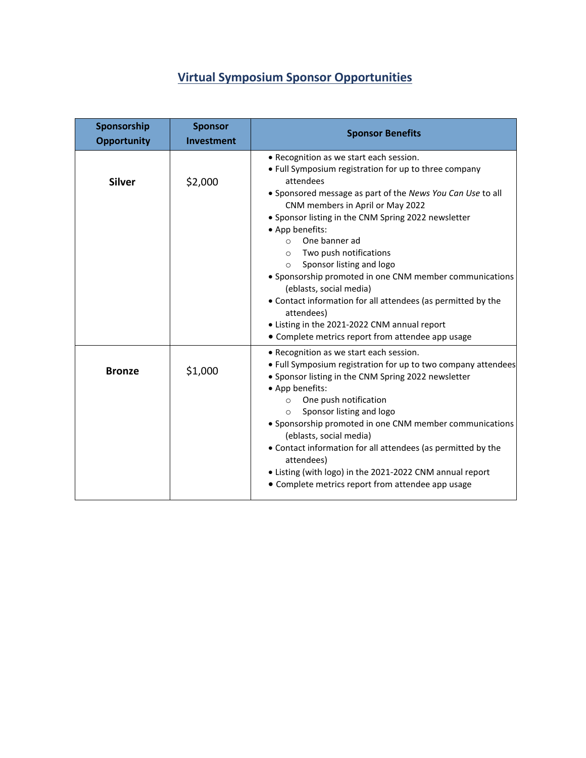# **Virtual Symposium Sponsor Opportunities**

| Sponsorship<br><b>Opportunity</b> | <b>Sponsor</b><br>Investment | <b>Sponsor Benefits</b>                                                                                                                                                                                                                                                                                                                                                                                                                                                                                                                                                                                                |
|-----------------------------------|------------------------------|------------------------------------------------------------------------------------------------------------------------------------------------------------------------------------------------------------------------------------------------------------------------------------------------------------------------------------------------------------------------------------------------------------------------------------------------------------------------------------------------------------------------------------------------------------------------------------------------------------------------|
| <b>Silver</b>                     | \$2,000                      | • Recognition as we start each session.<br>• Full Symposium registration for up to three company<br>attendees<br>• Sponsored message as part of the News You Can Use to all<br>CNM members in April or May 2022<br>• Sponsor listing in the CNM Spring 2022 newsletter<br>• App benefits:<br>One banner ad<br>$\Omega$<br>Two push notifications<br>$\circ$<br>Sponsor listing and logo<br>$\circ$<br>• Sponsorship promoted in one CNM member communications<br>(eblasts, social media)<br>• Contact information for all attendees (as permitted by the<br>attendees)<br>• Listing in the 2021-2022 CNM annual report |
| <b>Bronze</b>                     | \$1,000                      | • Complete metrics report from attendee app usage<br>• Recognition as we start each session.<br>. Full Symposium registration for up to two company attendees<br>• Sponsor listing in the CNM Spring 2022 newsletter<br>• App benefits:<br>One push notification<br>$\circ$<br>Sponsor listing and logo<br>$\circ$<br>• Sponsorship promoted in one CNM member communications<br>(eblasts, social media)<br>• Contact information for all attendees (as permitted by the<br>attendees)<br>• Listing (with logo) in the 2021-2022 CNM annual report<br>• Complete metrics report from attendee app usage                |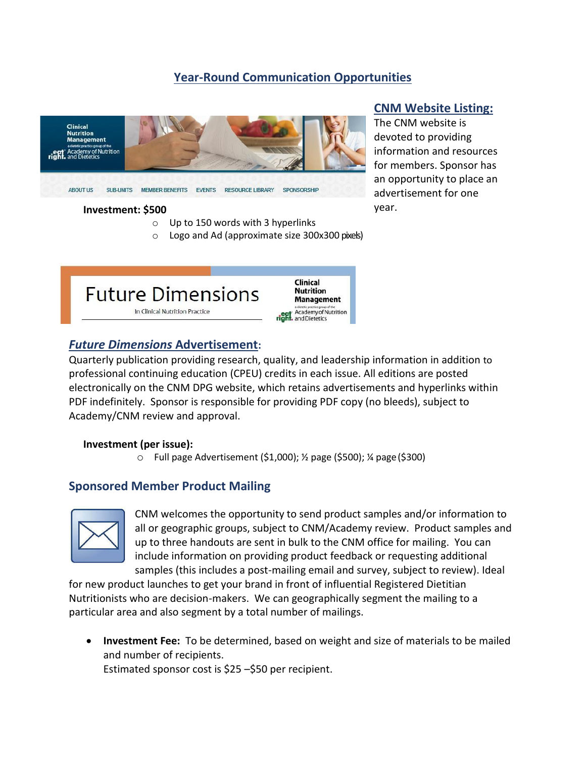## **Year-Round Communication Opportunities**



#### **Investment: \$500**

- o Up to 150 words with 3 hyperlinks
- o Logo and Ad (approximate size 300x300 pixels)



#### *Future Dimensions* **Advertisement:**

Quarterly publication providing research, quality, and leadership information in addition to professional continuing education (CPEU) credits in each issue. All editions are posted electronically [on the CNM DPG website,](http://www.dns.dpg.org/) which retains advertisements and hyperlinks within PDF indefinitely. Sponsor is responsible for providing PDF copy (no bleeds), subject to Academy/CNM review and approval.

#### **Investment (per issue):**

o Full page Advertisement (\$1,000); ½ page (\$500); ¼ page(\$300)

### **Sponsored Member Product Mailing**



CNM welcomes the opportunity to send product samples and/or information to all or geographic groups, subject to CNM/Academy review. Product samples and up to three handouts are sent in bulk to the CNM office for mailing. You can include information on providing product feedback or requesting additional samples (this includes a post-mailing email and survey, subject to review). Ideal

for new product launches to get your brand in front of influential Registered Dietitian Nutritionists who are decision-makers. We can geographically segment the mailing to a particular area and also segment by a total number of mailings.

• **Investment Fee:** To be determined, based on weight and size of materials to be mailed and number of recipients.

Estimated sponsor cost is \$25 –\$50 per recipient.

## **CNM Website Listing:**

The CNM website is devoted to providing information and resources for members. Sponsor has an opportunity to place an advertisement for one year.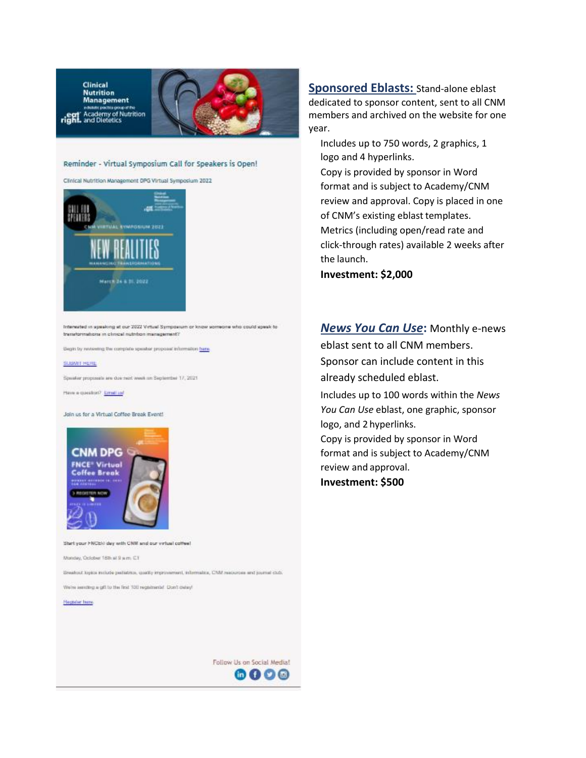**Clinical Nutrition Management Bolottr positive circ Academy of Nutrition**<br>Academy of Nutrition<br>and Dietetics <sub>ri</sub>ရူ





Clinical Nutrition Management DPG Virtual Symposium 2022



Interested in speaking at our 2022 Virtual Symposium or know someone who could speak to transformations in clinical nutrition management?

Begin by networting the complete speaker proposet information bene

#### **SUBATT HERE**

Speaker proposals are due next week on September 17, 2021

Have a question? Errett and

Join us for a Virtual Coffee Break Event!



Start your FNCER day with CNM and our virtual coffee!

Monday, October 18th at 9 a.m. C.T.

Breakout lopics molute pediatrics, coality improvement, informalics, CNM resources and journal club.

We're assuming a gift to the first 100 registrante! Don't oxisy!

**Plegador** huno

**Sponsored Eblasts:** Stand-alone eblast dedicated to sponsor content, sent to all CNM members and archived on the website for one year.

Includes up to 750 words, 2 graphics, 1 logo and 4 hyperlinks.

Copy is provided by sponsor in Word format and is subject to Academy/CNM review and approval. Copy is placed in one of CNM's existing eblast templates. Metrics (including open/read rate and click-through rates) available 2 weeks after the launch.

**Investment: \$2,000**

#### *News You Can Use***:** Monthly e-news

eblast sent to all CNM members. Sponsor can include content in this already scheduled eblast.

Includes up to 100 words within the *News You Can Use* eblast, one graphic, sponsor logo, and 2 hyperlinks.

Copy is provided by sponsor in Word format and is subject to Academy/CNM review and approval. **Investment: \$500**

Follow Us on Social Media! 6000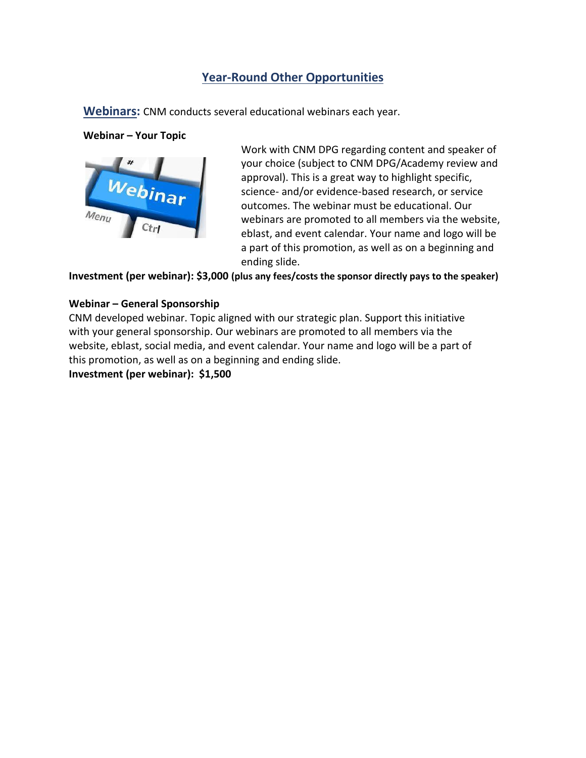## **Year-Round Other Opportunities**

**Webinars:** CNM conducts several educational webinars each year.

#### **Webinar – Your Topic**



Work with CNM DPG regarding content and speaker of your choice (subject to CNM DPG/Academy review and approval). This is a great way to highlight specific, science- and/or evidence-based research, or service outcomes. The webinar must be educational. Our webinars are promoted to all members via the website, eblast, and event calendar. Your name and logo will be a part of this promotion, as well as on a beginning and ending slide.

**Investment (per webinar): \$3,000 (plus any fees/costs the sponsor directly pays to the speaker)**

#### **Webinar – General Sponsorship**

CNM developed webinar. Topic aligned with our strategic plan. Support this initiative with your general sponsorship. Our webinars are promoted to all members via the website, eblast, social media, and event calendar. Your name and logo will be a part of this promotion, as well as on a beginning and ending slide.

**Investment (per webinar): \$1,500**